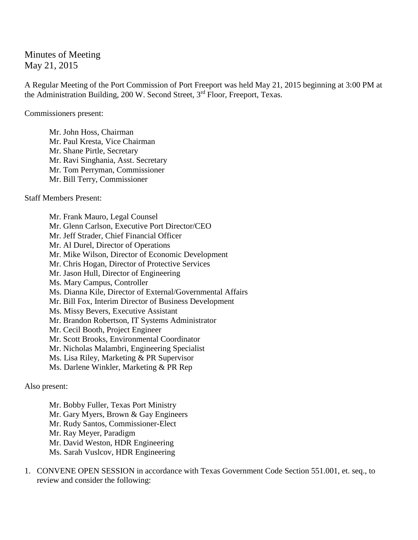Minutes of Meeting May 21, 2015

A Regular Meeting of the Port Commission of Port Freeport was held May 21, 2015 beginning at 3:00 PM at the Administration Building, 200 W. Second Street, 3<sup>rd</sup> Floor, Freeport, Texas.

Commissioners present:

Mr. John Hoss, Chairman Mr. Paul Kresta, Vice Chairman Mr. Shane Pirtle, Secretary Mr. Ravi Singhania, Asst. Secretary Mr. Tom Perryman, Commissioner Mr. Bill Terry, Commissioner

Staff Members Present:

Mr. Frank Mauro, Legal Counsel Mr. Glenn Carlson, Executive Port Director/CEO Mr. Jeff Strader, Chief Financial Officer Mr. Al Durel, Director of Operations Mr. Mike Wilson, Director of Economic Development Mr. Chris Hogan, Director of Protective Services Mr. Jason Hull, Director of Engineering Ms. Mary Campus, Controller Ms. Dianna Kile, Director of External/Governmental Affairs Mr. Bill Fox, Interim Director of Business Development Ms. Missy Bevers, Executive Assistant Mr. Brandon Robertson, IT Systems Administrator Mr. Cecil Booth, Project Engineer Mr. Scott Brooks, Environmental Coordinator Mr. Nicholas Malambri, Engineering Specialist Ms. Lisa Riley, Marketing & PR Supervisor Ms. Darlene Winkler, Marketing & PR Rep

Also present:

Mr. Bobby Fuller, Texas Port Ministry Mr. Gary Myers, Brown & Gay Engineers Mr. Rudy Santos, Commissioner-Elect Mr. Ray Meyer, Paradigm Mr. David Weston, HDR Engineering Ms. Sarah Vuslcov, HDR Engineering

1. CONVENE OPEN SESSION in accordance with Texas Government Code Section 551.001, et. seq., to review and consider the following: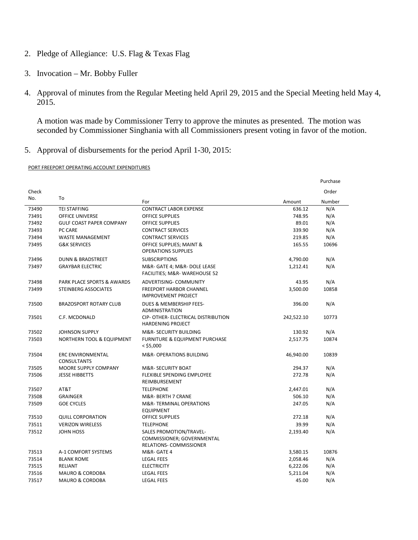- 2. Pledge of Allegiance: U.S. Flag & Texas Flag
- 3. Invocation Mr. Bobby Fuller
- 4. Approval of minutes from the Regular Meeting held April 29, 2015 and the Special Meeting held May 4, 2015.

A motion was made by Commissioner Terry to approve the minutes as presented. The motion was seconded by Commissioner Singhania with all Commissioners present voting in favor of the motion.

5. Approval of disbursements for the period April 1-30, 2015:

### PORT FREEPORT OPERATING ACCOUNT EXPENDITURES

|       |                                                |                                                                                                |            | Purchase |
|-------|------------------------------------------------|------------------------------------------------------------------------------------------------|------------|----------|
| Check |                                                |                                                                                                |            | Order    |
| No.   | To                                             | For                                                                                            | Amount     | Number   |
| 73490 | <b>TEI STAFFING</b>                            | <b>CONTRACT LABOR EXPENSE</b>                                                                  | 636.12     | N/A      |
| 73491 | <b>OFFICE UNIVERSE</b>                         | <b>OFFICE SUPPLIES</b>                                                                         | 748.95     | N/A      |
| 73492 | <b>GULF COAST PAPER COMPANY</b>                | <b>OFFICE SUPPLIES</b>                                                                         | 89.01      | N/A      |
| 73493 | PC CARE                                        | <b>CONTRACT SERVICES</b>                                                                       | 339.90     | N/A      |
| 73494 | <b>WASTE MANAGEMENT</b>                        | <b>CONTRACT SERVICES</b>                                                                       | 219.85     | N/A      |
| 73495 | <b>G&amp;K SERVICES</b>                        | OFFICE SUPPLIES; MAINT &<br><b>OPERATIONS SUPPLIES</b>                                         | 165.55     | 10696    |
| 73496 | <b>DUNN &amp; BRADSTREET</b>                   | <b>SUBSCRIPTIONS</b>                                                                           | 4,790.00   | N/A      |
| 73497 | <b>GRAYBAR ELECTRIC</b>                        | M&R- GATE 4; M&R- DOLE LEASE<br>FACILITIES; M&R- WAREHOUSE 52                                  | 1,212.41   | N/A      |
| 73498 | PARK PLACE SPORTS & AWARDS                     | <b>ADVERTISING- COMMUNITY</b>                                                                  | 43.95      | N/A      |
| 73499 | <b>STEINBERG ASSOCIATES</b>                    | <b>FREEPORT HARBOR CHANNEL</b><br><b>IMPROVEMENT PROJECT</b>                                   | 3,500.00   | 10858    |
| 73500 | <b>BRAZOSPORT ROTARY CLUB</b>                  | DUES & MEMBERSHIP FEES-<br>ADMINISTRATION                                                      | 396.00     | N/A      |
| 73501 | C.F. MCDONALD                                  | CIP- OTHER- ELECTRICAL DISTRIBUTION<br><b>HARDENING PROJECT</b>                                | 242,522.10 | 10773    |
| 73502 | <b>JOHNSON SUPPLY</b>                          | <b>M&amp;R- SECURITY BUILDING</b>                                                              | 130.92     | N/A      |
| 73503 | NORTHERN TOOL & EQUIPMENT                      | <b>FURNITURE &amp; EQUIPMENT PURCHASE</b><br>$<$ \$5,000                                       | 2,517.75   | 10874    |
| 73504 | <b>ERC ENVIRONMENTAL</b><br><b>CONSULTANTS</b> | <b>M&amp;R- OPERATIONS BUILDING</b>                                                            | 46,940.00  | 10839    |
| 73505 | MOORE SUPPLY COMPANY                           | <b>M&amp;R- SECURITY BOAT</b>                                                                  | 294.37     | N/A      |
| 73506 | <b>JESSE HIBBETTS</b>                          | <b>FLEXIBLE SPENDING EMPLOYEE</b><br>REIMBURSEMENT                                             | 272.78     | N/A      |
| 73507 | AT&T                                           | <b>TELEPHONE</b>                                                                               | 2,447.01   | N/A      |
| 73508 | <b>GRAINGER</b>                                | M&R- BERTH 7 CRANE                                                                             | 506.10     | N/A      |
| 73509 | <b>GOE CYCLES</b>                              | M&R-TERMINAL OPERATIONS<br><b>EQUIPMENT</b>                                                    | 247.05     | N/A      |
| 73510 | <b>QUILL CORPORATION</b>                       | <b>OFFICE SUPPLIES</b>                                                                         | 272.18     | N/A      |
| 73511 | <b>VERIZON WIRELESS</b>                        | <b>TELEPHONE</b>                                                                               | 39.99      | N/A      |
| 73512 | JOHN HOSS                                      | <b>SALES PROMOTION/TRAVEL-</b><br>COMMISSIONER; GOVERNMENTAL<br><b>RELATIONS- COMMISSIONER</b> | 2,193.40   | N/A      |
| 73513 | A-1 COMFORT SYSTEMS                            | M&R-GATE 4                                                                                     | 3,580.15   | 10876    |
| 73514 | <b>BLANK ROME</b>                              | <b>LEGAL FEES</b>                                                                              | 2,058.46   | N/A      |
| 73515 | <b>RELIANT</b>                                 | <b>ELECTRICITY</b>                                                                             | 6,222.06   | N/A      |
| 73516 | <b>MAURO &amp; CORDOBA</b>                     | <b>LEGAL FEES</b>                                                                              | 5,211.04   | N/A      |
| 73517 | <b>MAURO &amp; CORDOBA</b>                     | <b>LEGAL FEES</b>                                                                              | 45.00      | N/A      |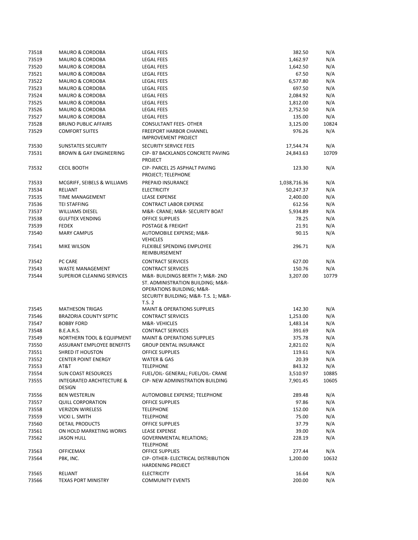| 73518 | <b>MAURO &amp; CORDOBA</b>                     | <b>LEGAL FEES</b>                                                                                                                                 | 382.50       | N/A   |
|-------|------------------------------------------------|---------------------------------------------------------------------------------------------------------------------------------------------------|--------------|-------|
| 73519 | <b>MAURO &amp; CORDOBA</b>                     | <b>LEGAL FEES</b>                                                                                                                                 | 1,462.97     | N/A   |
| 73520 | <b>MAURO &amp; CORDOBA</b>                     | <b>LEGAL FEES</b>                                                                                                                                 | 1,642.50     | N/A   |
| 73521 | <b>MAURO &amp; CORDOBA</b>                     | <b>LEGAL FEES</b>                                                                                                                                 | 67.50        | N/A   |
| 73522 | <b>MAURO &amp; CORDOBA</b>                     | <b>LEGAL FEES</b>                                                                                                                                 | 6,577.80     | N/A   |
| 73523 | <b>MAURO &amp; CORDOBA</b>                     | <b>LEGAL FEES</b>                                                                                                                                 | 697.50       | N/A   |
| 73524 | <b>MAURO &amp; CORDOBA</b>                     | <b>LEGAL FEES</b>                                                                                                                                 | 2,084.92     | N/A   |
| 73525 | <b>MAURO &amp; CORDOBA</b>                     | <b>LEGAL FEES</b>                                                                                                                                 | 1,812.00     | N/A   |
| 73526 | <b>MAURO &amp; CORDOBA</b>                     | <b>LEGAL FEES</b>                                                                                                                                 | 2,752.50     | N/A   |
| 73527 | <b>MAURO &amp; CORDOBA</b>                     | <b>LEGAL FEES</b>                                                                                                                                 | 135.00       | N/A   |
| 73528 | <b>BRUNO PUBLIC AFFAIRS</b>                    | <b>CONSULTANT FEES- OTHER</b>                                                                                                                     | 3,125.00     | 10824 |
| 73529 | <b>COMFORT SUITES</b>                          | <b>FREEPORT HARBOR CHANNEL</b><br><b>IMPROVEMENT PROJECT</b>                                                                                      | 976.26       | N/A   |
| 73530 | <b>SUNSTATES SECURITY</b>                      | <b>SECURITY SERVICE FEES</b>                                                                                                                      | 17,544.74    | N/A   |
| 73531 | <b>BROWN &amp; GAY ENGINEERING</b>             | CIP- B7 BACKLANDS CONCRETE PAVING<br><b>PROJECT</b>                                                                                               | 24,843.63    | 10709 |
| 73532 | <b>CECIL BOOTH</b>                             | CIP- PARCEL 25 ASPHALT PAVING<br>PROJECT; TELEPHONE                                                                                               | 123.30       | N/A   |
| 73533 | MCGRIFF, SEIBELS & WILLIAMS                    | PREPAID INSURANCE                                                                                                                                 | 1,038,716.36 | N/A   |
| 73534 | RELIANT                                        | <b>ELECTRICITY</b>                                                                                                                                | 50,247.37    | N/A   |
| 73535 | <b>TIME MANAGEMENT</b>                         | LEASE EXPENSE                                                                                                                                     | 2,400.00     | N/A   |
| 73536 | <b>TEI STAFFING</b>                            | <b>CONTRACT LABOR EXPENSE</b>                                                                                                                     | 612.56       | N/A   |
| 73537 | <b>WILLIAMS DIESEL</b>                         | M&R- CRANE; M&R- SECURITY BOAT                                                                                                                    | 5,934.89     | N/A   |
| 73538 | <b>GULFTEX VENDING</b>                         | <b>OFFICE SUPPLIES</b>                                                                                                                            | 78.25        | N/A   |
| 73539 | <b>FEDEX</b>                                   | <b>POSTAGE &amp; FREIGHT</b>                                                                                                                      | 21.91        | N/A   |
| 73540 | <b>MARY CAMPUS</b>                             | AUTOMOBILE EXPENSE; M&R-<br><b>VEHICLES</b>                                                                                                       | 90.15        | N/A   |
| 73541 | <b>MIKE WILSON</b>                             | FLEXIBLE SPENDING EMPLOYEE<br>REIMBURSEMENT                                                                                                       | 296.71       | N/A   |
| 73542 | PC CARE                                        | <b>CONTRACT SERVICES</b>                                                                                                                          | 627.00       | N/A   |
| 73543 | <b>WASTE MANAGEMENT</b>                        | <b>CONTRACT SERVICES</b>                                                                                                                          | 150.76       | N/A   |
| 73544 | <b>SUPERIOR CLEANING SERVICES</b>              | M&R-BUILDINGS BERTH 7; M&R-2ND<br>ST. ADMINISTRATION BUILDING; M&R-<br>OPERATIONS BUILDING; M&R-<br>SECURITY BUILDING; M&R- T.S. 1; M&R-<br>T.S.2 | 3,207.00     | 10779 |
| 73545 | <b>MATHESON TRIGAS</b>                         | <b>MAINT &amp; OPERATIONS SUPPLIES</b>                                                                                                            | 142.30       | N/A   |
| 73546 | <b>BRAZORIA COUNTY SEPTIC</b>                  | <b>CONTRACT SERVICES</b>                                                                                                                          | 1,253.00     | N/A   |
| 73547 | <b>BOBBY FORD</b>                              | M&R-VEHICLES                                                                                                                                      | 1,483.14     | N/A   |
| 73548 | <b>B.E.A.R.S.</b>                              | <b>CONTRACT SERVICES</b>                                                                                                                          | 391.69       | N/A   |
| 73549 | NORTHERN TOOL & EQUIPMENT                      | <b>MAINT &amp; OPERATIONS SUPPLIES</b>                                                                                                            | 375.78       | N/A   |
| 73550 | ASSURANT EMPLOYEE BENEFITS                     | <b>GROUP DENTAL INSURANCE</b>                                                                                                                     | 2,821.02     | N/A   |
| 73551 | <b>SHRED IT HOUSTON</b>                        | <b>OFFICE SUPPLIES</b>                                                                                                                            | 119.61       | N/A   |
| 73552 | <b>CENTER POINT ENERGY</b>                     | WATER & GAS                                                                                                                                       | 20.39        | N/A   |
| 73553 | AT&T                                           | <b>TELEPHONE</b>                                                                                                                                  | 843.32       | N/A   |
| 73554 | <b>SUN COAST RESOURCES</b>                     | FUEL/OIL- GENERAL; FUEL/OIL- CRANE                                                                                                                | 3,510.97     | 10885 |
| 73555 | <b>INTEGRATED ARCHITECTURE &amp;</b><br>DESIGN | <b>CIP- NEW ADMINISTRATION BUILDING</b>                                                                                                           | 7,901.45     | 10605 |
| 73556 | <b>BEN WESTERLIN</b>                           | AUTOMOBILE EXPENSE; TELEPHONE                                                                                                                     | 289.48       | N/A   |
| 73557 | <b>QUILL CORPORATION</b>                       | <b>OFFICE SUPPLIES</b>                                                                                                                            | 97.86        | N/A   |
| 73558 | <b>VERIZON WIRELESS</b>                        | <b>TELEPHONE</b>                                                                                                                                  | 152.00       | N/A   |
| 73559 | VICKI L. SMITH                                 | <b>TELEPHONE</b>                                                                                                                                  | 75.00        | N/A   |
| 73560 | DETAIL PRODUCTS                                | <b>OFFICE SUPPLIES</b>                                                                                                                            | 37.79        | N/A   |
| 73561 | ON HOLD MARKETING WORKS                        | LEASE EXPENSE                                                                                                                                     | 39.00        | N/A   |
| 73562 | <b>JASON HULL</b>                              | <b>GOVERNMENTAL RELATIONS;</b><br><b>TELEPHONE</b>                                                                                                | 228.19       | N/A   |
| 73563 | <b>OFFICEMAX</b>                               | <b>OFFICE SUPPLIES</b>                                                                                                                            | 277.44       | N/A   |
| 73564 | PBK, INC.                                      | CIP- OTHER- ELECTRICAL DISTRIBUTION<br><b>HARDENING PROJECT</b>                                                                                   | 1,200.00     | 10632 |
| 73565 | RELIANT                                        | <b>ELECTRICITY</b>                                                                                                                                | 16.64        | N/A   |
| 73566 | <b>TEXAS PORT MINISTRY</b>                     | <b>COMMUNITY EVENTS</b>                                                                                                                           | 200.00       | N/A   |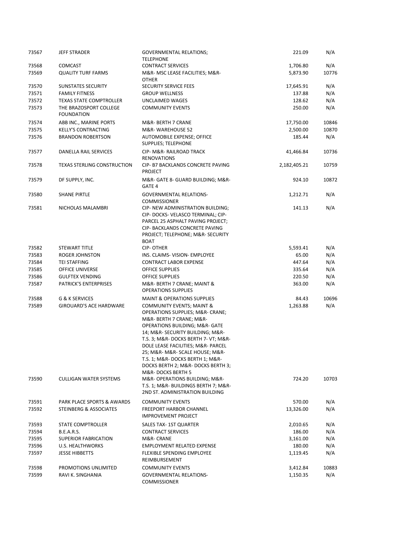| 73567          | JEFF STRADER                                                    | <b>GOVERNMENTAL RELATIONS;</b><br><b>TELEPHONE</b>                                                                                                                                                                                                                                                                                                                                                                                                                             | 221.09              | N/A          |
|----------------|-----------------------------------------------------------------|--------------------------------------------------------------------------------------------------------------------------------------------------------------------------------------------------------------------------------------------------------------------------------------------------------------------------------------------------------------------------------------------------------------------------------------------------------------------------------|---------------------|--------------|
| 73568          | <b>COMCAST</b>                                                  | <b>CONTRACT SERVICES</b>                                                                                                                                                                                                                                                                                                                                                                                                                                                       | 1,706.80            | N/A          |
| 73569          | <b>QUALITY TURF FARMS</b>                                       | M&R- MSC LEASE FACILITIES; M&R-<br><b>OTHER</b>                                                                                                                                                                                                                                                                                                                                                                                                                                | 5,873.90            | 10776        |
| 73570          | <b>SUNSTATES SECURITY</b>                                       | <b>SECURITY SERVICE FEES</b>                                                                                                                                                                                                                                                                                                                                                                                                                                                   | 17,645.91           | N/A          |
| 73571          | <b>FAMILY FITNESS</b>                                           | <b>GROUP WELLNESS</b>                                                                                                                                                                                                                                                                                                                                                                                                                                                          | 137.88              | N/A          |
| 73572          | <b>TEXAS STATE COMPTROLLER</b>                                  | UNCLAIMED WAGES                                                                                                                                                                                                                                                                                                                                                                                                                                                                | 128.62              | N/A          |
| 73573          | THE BRAZOSPORT COLLEGE                                          | <b>COMMUNITY EVENTS</b>                                                                                                                                                                                                                                                                                                                                                                                                                                                        | 250.00              | N/A          |
|                | <b>FOUNDATION</b>                                               |                                                                                                                                                                                                                                                                                                                                                                                                                                                                                |                     |              |
| 73574          | ABB INC., MARINE PORTS                                          | M&R- BERTH 7 CRANE                                                                                                                                                                                                                                                                                                                                                                                                                                                             | 17,750.00           | 10846        |
| 73575          | <b>KELLY'S CONTRACTING</b>                                      | M&R-WAREHOUSE 52                                                                                                                                                                                                                                                                                                                                                                                                                                                               | 2,500.00            | 10870        |
| 73576          | <b>BRANDON ROBERTSON</b>                                        | AUTOMOBILE EXPENSE; OFFICE<br>SUPPLIES; TELEPHONE                                                                                                                                                                                                                                                                                                                                                                                                                              | 185.44              | N/A          |
| 73577          | DANELLA RAIL SERVICES                                           | CIP- M&R- RAILROAD TRACK<br><b>RENOVATIONS</b>                                                                                                                                                                                                                                                                                                                                                                                                                                 | 41,466.84           | 10736        |
| 73578          | <b>TEXAS STERLING CONSTRUCTION</b>                              | CIP- B7 BACKLANDS CONCRETE PAVING<br><b>PROJECT</b>                                                                                                                                                                                                                                                                                                                                                                                                                            | 2,182,405.21        | 10759        |
| 73579          | DF SUPPLY, INC.                                                 | M&R- GATE 8- GUARD BUILDING; M&R-<br>GATE 4                                                                                                                                                                                                                                                                                                                                                                                                                                    | 924.10              | 10872        |
| 73580          | <b>SHANE PIRTLE</b>                                             | <b>GOVERNMENTAL RELATIONS-</b><br><b>COMMISSIONER</b>                                                                                                                                                                                                                                                                                                                                                                                                                          | 1,212.71            | N/A          |
| 73581          | NICHOLAS MALAMBRI                                               | CIP- NEW ADMINISTRATION BUILDING;<br>CIP- DOCKS- VELASCO TERMINAL; CIP-<br>PARCEL 25 ASPHALT PAVING PROJECT;<br>CIP- BACKLANDS CONCRETE PAVING<br>PROJECT; TELEPHONE; M&R- SECURITY<br><b>BOAT</b>                                                                                                                                                                                                                                                                             | 141.13              | N/A          |
| 73582          | <b>STEWART TITLE</b>                                            | CIP-OTHER                                                                                                                                                                                                                                                                                                                                                                                                                                                                      | 5,593.41            | N/A          |
| 73583          | <b>ROGER JOHNSTON</b>                                           | INS. CLAIMS- VISION- EMPLOYEE                                                                                                                                                                                                                                                                                                                                                                                                                                                  | 65.00               | N/A          |
| 73584          | <b>TEI STAFFING</b>                                             | <b>CONTRACT LABOR EXPENSE</b>                                                                                                                                                                                                                                                                                                                                                                                                                                                  | 447.64              | N/A          |
| 73585          | <b>OFFICE UNIVERSE</b>                                          | <b>OFFICE SUPPLIES</b>                                                                                                                                                                                                                                                                                                                                                                                                                                                         | 335.64              | N/A          |
| 73586          | <b>GULFTEX VENDING</b>                                          | <b>OFFICE SUPPLIES</b>                                                                                                                                                                                                                                                                                                                                                                                                                                                         | 220.50              | N/A          |
| 73587          | <b>PATRICK'S ENTERPRISES</b>                                    | M&R- BERTH 7 CRANE; MAINT &<br><b>OPERATIONS SUPPLIES</b>                                                                                                                                                                                                                                                                                                                                                                                                                      | 363.00              | N/A          |
| 73588          | G & K SERVICES                                                  | <b>MAINT &amp; OPERATIONS SUPPLIES</b>                                                                                                                                                                                                                                                                                                                                                                                                                                         | 84.43               | 10696        |
| 73589<br>73590 | <b>GIROUARD'S ACE HARDWARE</b><br><b>CULLIGAN WATER SYSTEMS</b> | <b>COMMUNITY EVENTS; MAINT &amp;</b><br>OPERATIONS SUPPLIES; M&R- CRANE;<br>M&R- BERTH 7 CRANE; M&R-<br><b>OPERATIONS BUILDING; M&amp;R- GATE</b><br>14; M&R- SECURITY BUILDING; M&R-<br>T.S. 3; M&R- DOCKS BERTH 7- VT; M&R-<br>DOLE LEASE FACILITIES; M&R- PARCEL<br>25; M&R- M&R- SCALE HOUSE; M&R-<br>T.S. 1; M&R- DOCKS BERTH 1; M&R-<br>DOCKS BERTH 2; M&R- DOCKS BERTH 3;<br>M&R-DOCKS BERTH 5<br>M&R-OPERATIONS BUILDING; M&R-<br>T.S. 1; M&R- BUILDINGS BERTH 7; M&R- | 1,263.88<br>724.20  | N/A<br>10703 |
|                |                                                                 | 2ND ST. ADMINISTRATION BUILDING                                                                                                                                                                                                                                                                                                                                                                                                                                                |                     |              |
| 73591<br>73592 | PARK PLACE SPORTS & AWARDS<br>STEINBERG & ASSOCIATES            | <b>COMMUNITY EVENTS</b><br><b>FREEPORT HARBOR CHANNEL</b><br><b>IMPROVEMENT PROJECT</b>                                                                                                                                                                                                                                                                                                                                                                                        | 570.00<br>13,326.00 | N/A<br>N/A   |
| 73593          | <b>STATE COMPTROLLER</b>                                        | SALES TAX-1ST QUARTER                                                                                                                                                                                                                                                                                                                                                                                                                                                          | 2,010.65            | N/A          |
| 73594          | <b>B.E.A.R.S.</b>                                               | <b>CONTRACT SERVICES</b>                                                                                                                                                                                                                                                                                                                                                                                                                                                       | 186.00              | N/A          |
| 73595          | <b>SUPERIOR FABRICATION</b>                                     | M&R- CRANE                                                                                                                                                                                                                                                                                                                                                                                                                                                                     | 3,161.00            | N/A          |
| 73596          | U.S. HEALTHWORKS                                                | <b>EMPLOYMENT RELATED EXPENSE</b>                                                                                                                                                                                                                                                                                                                                                                                                                                              | 180.00              | N/A          |
| 73597          | <b>JESSE HIBBETTS</b>                                           | <b>FLEXIBLE SPENDING EMPLOYEE</b><br>REIMBURSEMENT                                                                                                                                                                                                                                                                                                                                                                                                                             | 1,119.45            | N/A          |
| 73598          | PROMOTIONS UNLIMITED                                            | <b>COMMUNITY EVENTS</b>                                                                                                                                                                                                                                                                                                                                                                                                                                                        | 3,412.84            | 10883        |
| 73599          | RAVI K. SINGHANIA                                               | <b>GOVERNMENTAL RELATIONS-</b><br><b>COMMISSIONER</b>                                                                                                                                                                                                                                                                                                                                                                                                                          | 1,150.35            | N/A          |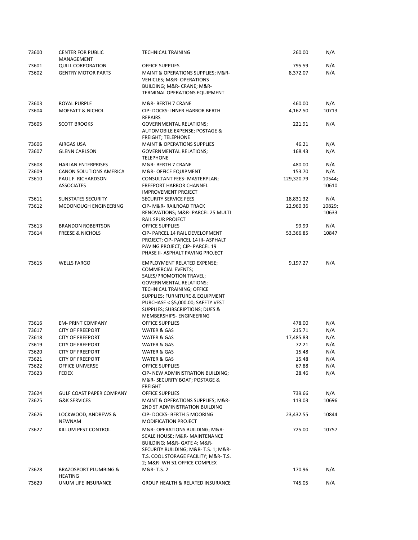| 73600          | <b>CENTER FOR PUBLIC</b><br>MANAGEMENT  | <b>TECHNICAL TRAINING</b>                                                                                                                                                                                     | 260.00         | N/A             |
|----------------|-----------------------------------------|---------------------------------------------------------------------------------------------------------------------------------------------------------------------------------------------------------------|----------------|-----------------|
| 73601          | <b>QUILL CORPORATION</b>                | OFFICE SUPPLIES                                                                                                                                                                                               | 795.59         | N/A             |
| 73602          | <b>GENTRY MOTOR PARTS</b>               | MAINT & OPERATIONS SUPPLIES; M&R-<br><b>VEHICLES; M&amp;R- OPERATIONS</b><br>BUILDING; M&R- CRANE; M&R-                                                                                                       | 8,372.07       | N/A             |
|                |                                         | TERMINAL OPERATIONS EQUIPMENT                                                                                                                                                                                 |                |                 |
| 73603          | ROYAL PURPLE                            | M&R- BERTH 7 CRANE                                                                                                                                                                                            | 460.00         | N/A             |
| 73604          | <b>MOFFATT &amp; NICHOL</b>             | CIP-DOCKS-INNER HARBOR BERTH<br><b>REPAIRS</b>                                                                                                                                                                | 4,162.50       | 10713           |
| 73605          | <b>SCOTT BROOKS</b>                     | <b>GOVERNMENTAL RELATIONS;</b><br>AUTOMOBILE EXPENSE; POSTAGE &<br><b>FREIGHT; TELEPHONE</b>                                                                                                                  | 221.91         | N/A             |
| 73606          | AIRGAS USA                              | <b>MAINT &amp; OPERATIONS SUPPLIES</b>                                                                                                                                                                        | 46.21          | N/A             |
| 73607          | <b>GLENN CARLSON</b>                    | <b>GOVERNMENTAL RELATIONS;</b><br><b>TELEPHONE</b>                                                                                                                                                            | 168.43         | N/A             |
| 73608          | <b>HARLAN ENTERPRISES</b>               | M&R- BERTH 7 CRANE                                                                                                                                                                                            | 480.00         | N/A             |
| 73609          | CANON SOLUTIONS AMERICA                 | M&R- OFFICE EQUIPMENT                                                                                                                                                                                         | 153.70         | N/A             |
| 73610          | PAUL F. RICHARDSON<br><b>ASSOCIATES</b> | CONSULTANT FEES- MASTERPLAN;<br><b>FREEPORT HARBOR CHANNEL</b><br><b>IMPROVEMENT PROJECT</b>                                                                                                                  | 129,320.79     | 10544;<br>10610 |
| 73611          | SUNSTATES SECURITY                      | <b>SECURITY SERVICE FEES</b>                                                                                                                                                                                  | 18,831.32      | N/A             |
| 73612          | MCDONOUGH ENGINEERING                   | <b>CIP- M&amp;R- RAILROAD TRACK</b><br>RENOVATIONS; M&R- PARCEL 25 MULTI<br>RAIL SPUR PROJECT                                                                                                                 | 22,960.36      | 10829;<br>10633 |
| 73613          | <b>BRANDON ROBERTSON</b>                | <b>OFFICE SUPPLIES</b>                                                                                                                                                                                        | 99.99          | N/A             |
| 73614          | <b>FREESE &amp; NICHOLS</b>             | CIP- PARCEL 14 RAIL DEVELOPMENT<br>PROJECT; CIP- PARCEL 14 III- ASPHALT<br>PAVING PROJECT; CIP- PARCEL 19<br>PHASE II- ASPHALT PAVING PROJECT                                                                 | 53,366.85      | 10847           |
| 73615          | <b>WELLS FARGO</b>                      | <b>EMPLOYMENT RELATED EXPENSE;</b><br><b>COMMERCIAL EVENTS;</b><br>SALES/PROMOTION TRAVEL;<br><b>GOVERNMENTAL RELATIONS;</b><br>TECHNICAL TRAINING; OFFICE<br>SUPPLIES; FURNITURE & EQUIPMENT                 | 9,197.27       | N/A             |
| 73616          | <b>EM-PRINT COMPANY</b>                 | PURCHASE < \$5,000.00; SAFETY VEST<br>SUPPLIES; SUBSCRIPTIONS; DUES &<br>MEMBERSHIPS- ENGINEERING<br>OFFICE SUPPLIES                                                                                          | 478.00         | N/A             |
| 73617          | <b>CITY OF FREEPORT</b>                 | WATER & GAS                                                                                                                                                                                                   | 215.71         | N/A             |
| 73618          | <b>CITY OF FREEPORT</b>                 | WATER & GAS                                                                                                                                                                                                   | 17,485.83      | N/A             |
| 73619          | <b>CITY OF FREEPORT</b>                 | WATER & GAS                                                                                                                                                                                                   | 72.21          | N/A             |
| 73620          | <b>CITY OF FREEPORT</b>                 | <b>WATER &amp; GAS</b>                                                                                                                                                                                        | 15.48          | N/A             |
| 73621          | <b>CITY OF FREEPORT</b>                 | WATER & GAS                                                                                                                                                                                                   | 15.48          | N/A             |
| 73622<br>73623 | <b>OFFICE UNIVERSE</b><br>FEDEX         | OFFICE SUPPLIES<br>CIP- NEW ADMINISTRATION BUILDING;<br>M&R-SECURITY BOAT; POSTAGE &<br><b>FREIGHT</b>                                                                                                        | 67.88<br>28.46 | N/A<br>N/A      |
| 73624          | <b>GULF COAST PAPER COMPANY</b>         | <b>OFFICE SUPPLIES</b>                                                                                                                                                                                        | 739.66         | N/A             |
| 73625          | <b>G&amp;K SERVICES</b>                 | MAINT & OPERATIONS SUPPLIES; M&R-<br>2ND ST ADMINISTRATION BUILDING                                                                                                                                           | 113.03         | 10696           |
| 73626          | LOCKWOOD, ANDREWS &<br>NEWNAM           | CIP-DOCKS-BERTH 5 MOORING<br><b>MODIFICATION PROJECT</b>                                                                                                                                                      | 23,432.55      | 10844           |
| 73627          | KILLUM PEST CONTROL                     | M&R-OPERATIONS BUILDING; M&R-<br>SCALE HOUSE; M&R- MAINTENANCE<br>BUILDING; M&R- GATE 4; M&R-<br>SECURITY BUILDING; M&R- T.S. 1; M&R-<br>T.S. COOL STORAGE FACILITY; M&R-T.S.<br>2; M&R- WH 51 OFFICE COMPLEX | 725.00         | 10757           |
| 73628          | BRAZOSPORT PLUMBING &<br><b>HEATING</b> | M&R-T.S. 2                                                                                                                                                                                                    | 170.96         | N/A             |
| 73629          | UNUM LIFE INSURANCE                     | <b>GROUP HEALTH &amp; RELATED INSURANCE</b>                                                                                                                                                                   | 745.05         | N/A             |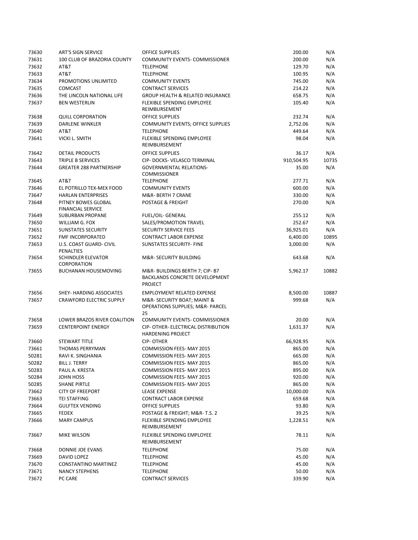| 73630 | <b>ART'S SIGN SERVICE</b>                       | <b>OFFICE SUPPLIES</b>                                                            | 200.00     | N/A   |
|-------|-------------------------------------------------|-----------------------------------------------------------------------------------|------------|-------|
| 73631 | 100 CLUB OF BRAZORIA COUNTY                     | COMMUNITY EVENTS- COMMISSIONER                                                    | 200.00     | N/A   |
| 73632 | AT&T                                            | <b>TELEPHONE</b>                                                                  | 129.70     | N/A   |
| 73633 | AT&T                                            | <b>TELEPHONE</b>                                                                  | 100.95     | N/A   |
| 73634 | PROMOTIONS UNLIMITED                            | <b>COMMUNITY EVENTS</b>                                                           | 745.00     | N/A   |
| 73635 | <b>COMCAST</b>                                  | <b>CONTRACT SERVICES</b>                                                          | 214.22     | N/A   |
| 73636 | THE LINCOLN NATIONAL LIFE                       | <b>GROUP HEALTH &amp; RELATED INSURANCE</b>                                       | 658.75     | N/A   |
| 73637 | <b>BEN WESTERLIN</b>                            | FLEXIBLE SPENDING EMPLOYEE                                                        | 105.40     | N/A   |
|       |                                                 | REIMBURSEMENT                                                                     |            |       |
| 73638 | <b>QUILL CORPORATION</b>                        | <b>OFFICE SUPPLIES</b>                                                            | 232.74     | N/A   |
| 73639 | <b>DARLENE WINKLER</b>                          | <b>COMMUNITY EVENTS; OFFICE SUPPLIES</b>                                          | 2,752.06   | N/A   |
| 73640 | AT&T                                            | <b>TELEPHONE</b>                                                                  | 449.64     | N/A   |
| 73641 | VICKI L. SMITH                                  | FLEXIBLE SPENDING EMPLOYEE                                                        | 98.04      | N/A   |
|       |                                                 | REIMBURSEMENT                                                                     |            |       |
| 73642 | <b>DETAIL PRODUCTS</b>                          | <b>OFFICE SUPPLIES</b>                                                            | 36.17      | N/A   |
| 73643 | TRIPLE B SERVICES                               | CIP- DOCKS- VELASCO TERMINAL                                                      | 910,504.95 | 10735 |
| 73644 | <b>GREATER 288 PARTNERSHIP</b>                  | <b>GOVERNMENTAL RELATIONS-</b><br><b>COMMISSIONER</b>                             | 35.00      | N/A   |
| 73645 | AT&T                                            | <b>TELEPHONE</b>                                                                  | 277.71     | N/A   |
| 73646 | EL POTRILLO TEX-MEX FOOD                        | <b>COMMUNITY EVENTS</b>                                                           | 600.00     | N/A   |
| 73647 | <b>HARLAN ENTERPRISES</b>                       | M&R- BERTH 7 CRANE                                                                | 330.00     | N/A   |
| 73648 | PITNEY BOWES GLOBAL<br><b>FINANCIAL SERVICE</b> | POSTAGE & FREIGHT                                                                 | 270.00     | N/A   |
| 73649 | SUBURBAN PROPANE                                | <b>FUEL/OIL- GENERAL</b>                                                          | 255.12     | N/A   |
| 73650 | WILLIAM G. FOX                                  | SALES/PROMOTION TRAVEL                                                            | 252.67     | N/A   |
| 73651 | <b>SUNSTATES SECURITY</b>                       | <b>SECURITY SERVICE FEES</b>                                                      | 36,925.01  | N/A   |
| 73652 | FMF INCORPORATED                                | <b>CONTRACT LABOR EXPENSE</b>                                                     | 6,400.00   | 10895 |
| 73653 | <b>U.S. COAST GUARD- CIVIL</b>                  | <b>SUNSTATES SECURITY- FINE</b>                                                   | 3,000.00   | N/A   |
| 73654 | PENALTIES<br><b>SCHINDLER ELEVATOR</b>          | M&R-SECURITY BUILDING                                                             | 643.68     | N/A   |
|       | CORPORATION                                     |                                                                                   |            |       |
| 73655 | <b>BUCHANAN HOUSEMOVING</b>                     | M&R-BUILDINGS BERTH 7; CIP-B7<br>BACKLANDS CONCRETE DEVELOPMENT<br><b>PROJECT</b> | 5,962.17   | 10882 |
| 73656 | SHEY- HARDING ASSOCIATES                        | <b>EMPLOYMENT RELATED EXPENSE</b>                                                 | 8,500.00   | 10887 |
| 73657 | <b>CRAWFORD ELECTRIC SUPPLY</b>                 | M&R- SECURITY BOAT; MAINT &                                                       | 999.68     | N/A   |
|       |                                                 | OPERATIONS SUPPLIES; M&R- PARCEL<br>25                                            |            |       |
| 73658 | LOWER BRAZOS RIVER COALITION                    | COMMUNITY EVENTS- COMMISSIONER                                                    | 20.00      | N/A   |
| 73659 | <b>CENTERPOINT ENERGY</b>                       | CIP- OTHER- ELECTRICAL DISTRIBUTION<br><b>HARDENING PROJECT</b>                   | 1,631.37   | N/A   |
| 73660 | <b>STEWART TITLE</b>                            | <b>CIP-OTHER</b>                                                                  | 66,928.95  | N/A   |
| 73661 | <b>THOMAS PERRYMAN</b>                          | COMMISSION FEES- MAY 2015                                                         | 865.00     | N/A   |
| 50281 | RAVI K. SINGHANIA                               | COMMISSION FEES- MAY 2015                                                         | 665.00     | N/A   |
| 50282 | BILL J. TERRY                                   | COMMISSION FEES- MAY 2015                                                         | 865.00     | N/A   |
| 50283 | PAUL A. KRESTA                                  | COMMISSION FEES- MAY 2015                                                         | 895.00     | N/A   |
| 50284 | JOHN HOSS                                       | COMMISSION FEES- MAY 2015                                                         | 920.00     | N/A   |
| 50285 | <b>SHANE PIRTLE</b>                             | <b>COMMISSION FEES- MAY 2015</b>                                                  | 865.00     | N/A   |
| 73662 | <b>CITY OF FREEPORT</b>                         | <b>LEASE EXPENSE</b>                                                              | 10,000.00  | N/A   |
| 73663 | <b>TEI STAFFING</b>                             | <b>CONTRACT LABOR EXPENSE</b>                                                     | 659.68     | N/A   |
| 73664 | <b>GULFTEX VENDING</b>                          | OFFICE SUPPLIES                                                                   | 93.80      | N/A   |
| 73665 | <b>FEDEX</b>                                    | POSTAGE & FREIGHT; M&R-T.S. 2                                                     | 39.25      | N/A   |
| 73666 | <b>MARY CAMPUS</b>                              | <b>FLEXIBLE SPENDING EMPLOYEE</b>                                                 | 1,228.51   | N/A   |
|       |                                                 | REIMBURSEMENT                                                                     |            |       |
| 73667 | MIKE WILSON                                     | <b>FLEXIBLE SPENDING EMPLOYEE</b><br>REIMBURSEMENT                                | 78.11      | N/A   |
| 73668 | DONNIE JOE EVANS                                | <b>TELEPHONE</b>                                                                  | 75.00      | N/A   |
| 73669 | DAVID LOPEZ                                     | <b>TELEPHONE</b>                                                                  | 45.00      | N/A   |
| 73670 | CONSTANTINO MARTINEZ                            | <b>TELEPHONE</b>                                                                  | 45.00      | N/A   |
| 73671 | <b>NANCY STEPHENS</b>                           | <b>TELEPHONE</b>                                                                  | 50.00      | N/A   |
| 73672 | PC CARE                                         | <b>CONTRACT SERVICES</b>                                                          | 339.90     | N/A   |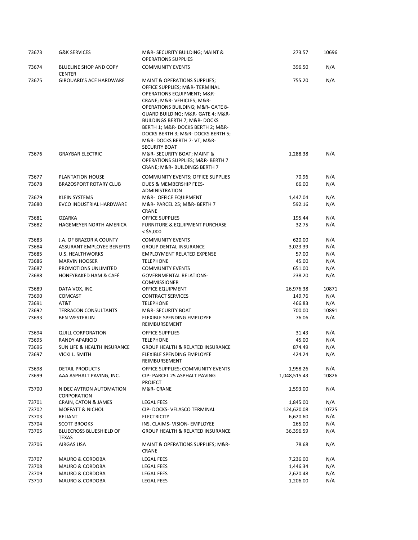| 73673          | <b>G&amp;K SERVICES</b>                       | M&R- SECURITY BUILDING; MAINT &<br><b>OPERATIONS SUPPLIES</b>                                                                                                                                                                                                                                                                                                                                         | 273.57             | 10696      |
|----------------|-----------------------------------------------|-------------------------------------------------------------------------------------------------------------------------------------------------------------------------------------------------------------------------------------------------------------------------------------------------------------------------------------------------------------------------------------------------------|--------------------|------------|
| 73674          | BLUELINE SHOP AND COPY<br><b>CENTER</b>       | <b>COMMUNITY EVENTS</b>                                                                                                                                                                                                                                                                                                                                                                               | 396.50             | N/A        |
| 73675          | <b>GIROUARD'S ACE HARDWARE</b>                | <b>MAINT &amp; OPERATIONS SUPPLIES;</b><br>OFFICE SUPPLIES; M&R-TERMINAL<br><b>OPERATIONS EQUIPMENT; M&amp;R-</b><br>CRANE; M&R-VEHICLES M&R-<br>OPERATIONS BUILDING; M&R- GATE 8-<br>GUARD BUILDING; M&R- GATE 4; M&R-<br><b>BUILDINGS BERTH 7; M&amp;R- DOCKS</b><br>BERTH 1; M&R- DOCKS BERTH 2; M&R-<br>DOCKS BERTH 3; M&R- DOCKS BERTH 5;<br>M&R-DOCKS BERTH 7- VT; M&R-<br><b>SECURITY BOAT</b> | 755.20             | N/A        |
| 73676          | <b>GRAYBAR ELECTRIC</b>                       | M&R-SECURITY BOAT; MAINT &<br>OPERATIONS SUPPLIES; M&R- BERTH 7<br>CRANE; M&R- BUILDINGS BERTH 7                                                                                                                                                                                                                                                                                                      | 1,288.38           | N/A        |
| 73677          | PLANTATION HOUSE                              | COMMUNITY EVENTS; OFFICE SUPPLIES                                                                                                                                                                                                                                                                                                                                                                     | 70.96              | N/A        |
| 73678          | <b>BRAZOSPORT ROTARY CLUB</b>                 | DUES & MEMBERSHIP FEES-<br><b>ADMINISTRATION</b>                                                                                                                                                                                                                                                                                                                                                      | 66.00              | N/A        |
| 73679          | <b>KLEIN SYSTEMS</b>                          | M&R- OFFICE EQUIPMENT                                                                                                                                                                                                                                                                                                                                                                                 | 1,447.04           | N/A        |
| 73680          | <b>EVCO INDUSTRIAL HARDWARE</b>               | M&R- PARCEL 25; M&R- BERTH 7<br><b>CRANE</b>                                                                                                                                                                                                                                                                                                                                                          | 592.16             | N/A        |
| 73681          | <b>OZARKA</b>                                 | OFFICE SUPPLIES                                                                                                                                                                                                                                                                                                                                                                                       | 195.44             | N/A        |
| 73682          | <b>HAGEMEYER NORTH AMERICA</b>                | <b>FURNITURE &amp; EQUIPMENT PURCHASE</b><br>$<$ \$5,000                                                                                                                                                                                                                                                                                                                                              | 32.75              | N/A        |
| 73683          | J.A. OF BRAZORIA COUNTY                       | <b>COMMUNITY EVENTS</b>                                                                                                                                                                                                                                                                                                                                                                               | 620.00             | N/A        |
| 73684          | ASSURANT EMPLOYEE BENEFITS                    | <b>GROUP DENTAL INSURANCE</b>                                                                                                                                                                                                                                                                                                                                                                         | 3,023.39           | N/A        |
| 73685          | U.S. HEALTHWORKS                              | <b>EMPLOYMENT RELATED EXPENSE</b>                                                                                                                                                                                                                                                                                                                                                                     | 57.00              | N/A        |
| 73686          | <b>MARVIN HOOSER</b>                          | <b>TELEPHONE</b>                                                                                                                                                                                                                                                                                                                                                                                      | 45.00              | N/A        |
| 73687<br>73688 | PROMOTIONS UNLIMITED<br>HONEYBAKED HAM & CAFÉ | <b>COMMUNITY EVENTS</b><br><b>GOVERNMENTAL RELATIONS-</b><br><b>COMMISSIONER</b>                                                                                                                                                                                                                                                                                                                      | 651.00<br>238.20   | N/A<br>N/A |
| 73689          | DATA VOX, INC.                                | OFFICE EQUIPMENT                                                                                                                                                                                                                                                                                                                                                                                      | 26,976.38          | 10871      |
| 73690          | <b>COMCAST</b>                                | <b>CONTRACT SERVICES</b>                                                                                                                                                                                                                                                                                                                                                                              | 149.76             | N/A        |
| 73691          | AT&T                                          | <b>TELEPHONE</b>                                                                                                                                                                                                                                                                                                                                                                                      | 466.83             | N/A        |
| 73692          | <b>TERRACON CONSULTANTS</b>                   | M&R-SECURITY BOAT                                                                                                                                                                                                                                                                                                                                                                                     | 700.00             | 10891      |
| 73693          | <b>BEN WESTERLIN</b>                          | <b>FLEXIBLE SPENDING EMPLOYEE</b><br>REIMBURSEMENT                                                                                                                                                                                                                                                                                                                                                    | 76.06              | N/A        |
| 73694          | <b>QUILL CORPORATION</b>                      | <b>OFFICE SUPPLIES</b>                                                                                                                                                                                                                                                                                                                                                                                | 31.43              | N/A        |
| 73695          | <b>RANDY APARICIO</b>                         | <b>TELEPHONE</b>                                                                                                                                                                                                                                                                                                                                                                                      | 45.00              | N/A        |
| 73696          | SUN LIFE & HEALTH INSURANCE                   | <b>GROUP HEALTH &amp; RELATED INSURANCE</b>                                                                                                                                                                                                                                                                                                                                                           | 874.49             | N/A        |
| 73697          | VICKI L. SMITH                                | FLEXIBLE SPENDING EMPLOYEE<br>REIMBURSEMENT                                                                                                                                                                                                                                                                                                                                                           | 424.24             | N/A        |
| 73698          | DETAIL PRODUCTS                               | OFFICE SUPPLIES; COMMUNITY EVENTS                                                                                                                                                                                                                                                                                                                                                                     | 1,958.26           | N/A        |
| 73699          | AAA ASPHALT PAVING, INC.                      | CIP- PARCEL 25 ASPHALT PAVING<br><b>PROJECT</b>                                                                                                                                                                                                                                                                                                                                                       | 1,048,515.43       | 10826      |
| 73700          | NIDEC AVTRON AUTOMATION<br>CORPORATION        | M&R- CRANE                                                                                                                                                                                                                                                                                                                                                                                            | 1,593.00           | N/A        |
| 73701          | CRAIN, CATON & JAMES                          | LEGAL FEES                                                                                                                                                                                                                                                                                                                                                                                            | 1,845.00           | N/A        |
| 73702          | <b>MOFFATT &amp; NICHOL</b>                   | CIP-DOCKS-VELASCO TERMINAL                                                                                                                                                                                                                                                                                                                                                                            | 124,620.08         | 10725      |
| 73703<br>73704 | RELIANT<br><b>SCOTT BROOKS</b>                | <b>ELECTRICITY</b><br>INS. CLAIMS- VISION- EMPLOYEE                                                                                                                                                                                                                                                                                                                                                   | 6,620.60<br>265.00 | N/A<br>N/A |
| 73705          | BLUECROSS BLUESHIELD OF                       | GROUP HEALTH & RELATED INSURANCE                                                                                                                                                                                                                                                                                                                                                                      |                    | N/A        |
| 73706          | TEXAS<br>AIRGAS USA                           | MAINT & OPERATIONS SUPPLIES; M&R-                                                                                                                                                                                                                                                                                                                                                                     | 36,396.59<br>78.68 | N/A        |
|                |                                               | CRANE                                                                                                                                                                                                                                                                                                                                                                                                 |                    |            |
| 73707          | MAURO & CORDOBA                               | LEGAL FEES                                                                                                                                                                                                                                                                                                                                                                                            | 7,236.00           | N/A        |
| 73708          | <b>MAURO &amp; CORDOBA</b>                    | LEGAL FEES                                                                                                                                                                                                                                                                                                                                                                                            | 1,446.34           | N/A        |
| 73709          | <b>MAURO &amp; CORDOBA</b>                    | LEGAL FEES                                                                                                                                                                                                                                                                                                                                                                                            | 2,620.48           | N/A        |
| 73710          | MAURO & CORDOBA                               | <b>LEGAL FEES</b>                                                                                                                                                                                                                                                                                                                                                                                     | 1,206.00           | N/A        |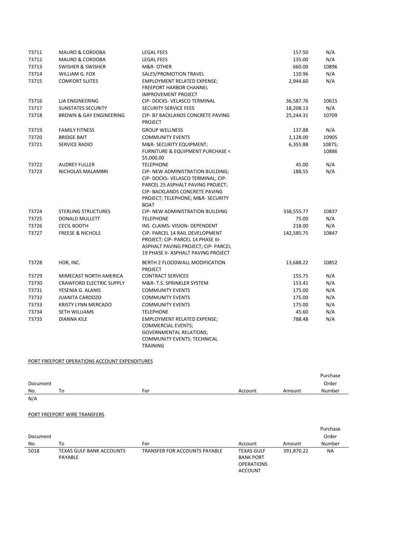| 73711 | <b>MAURO &amp; CORDOBA</b>         | <b>LEGAL FEES</b>                                                                                                                                                                                  | 157.50     | N/A             |
|-------|------------------------------------|----------------------------------------------------------------------------------------------------------------------------------------------------------------------------------------------------|------------|-----------------|
| 73712 | <b>MAURO &amp; CORDOBA</b>         | <b>LEGAL FEES</b>                                                                                                                                                                                  | 135.00     | N/A             |
| 73713 | <b>SWISHER &amp; SWISHER</b>       | M&R-OTHER                                                                                                                                                                                          | 660.00     | 10896           |
| 73714 | WILLIAM G. FOX                     | SALES/PROMOTION TRAVEL                                                                                                                                                                             | 110.96     | N/A             |
| 73715 | <b>COMFORT SUITES</b>              | <b>EMPLOYMENT RELATED EXPENSE;</b><br><b>FREEPORT HARBOR CHANNEL</b><br><b>IMPROVEMENT PROJECT</b>                                                                                                 | 2,944.60   | N/A             |
| 73716 | LJA ENGINEERING                    | CIP- DOCKS- VELASCO TERMINAL                                                                                                                                                                       | 36,587.76  | 10615           |
| 73717 | <b>SUNSTATES SECURITY</b>          | <b>SECURITY SERVICE FEES</b>                                                                                                                                                                       | 18,208.13  | N/A             |
| 73718 | <b>BROWN &amp; GAY ENGINEERING</b> | CIP- B7 BACKLANDS CONCRETE PAVING<br><b>PROJECT</b>                                                                                                                                                | 25,244.31  | 10709           |
| 73719 | <b>FAMILY FITNESS</b>              | <b>GROUP WELLNESS</b>                                                                                                                                                                              | 137.88     | N/A             |
| 73720 | <b>BRIDGE BAIT</b>                 | <b>COMMUNITY EVENTS</b>                                                                                                                                                                            | 1,128.00   | 10905           |
| 73721 | <b>SERVICE RADIO</b>               | M&R-SECURITY EQUIPMENT;<br>FURNITURE & EQUIPMENT PURCHASE <<br>\$5,000.00                                                                                                                          | 6,355.88   | 10875;<br>10886 |
| 73722 | <b>AUDREY FULLER</b>               | <b>TELEPHONE</b>                                                                                                                                                                                   | 45.00      | N/A             |
| 73723 | NICHOLAS MALAMBRI                  | CIP- NEW ADMINISTRATION BUILDING;<br>CIP- DOCKS- VELASCO TERMINAL; CIP-<br>PARCEL 25 ASPHALT PAVING PROJECT;<br>CIP- BACKLANDS CONCRETE PAVING<br>PROJECT; TELEPHONE; M&R- SECURITY<br><b>BOAT</b> | 188.55     | N/A             |
| 73724 | <b>STERLING STRUCTURES</b>         | <b>CIP- NEW ADMINISTRATION BUILDING</b>                                                                                                                                                            | 338,555.77 | 10837           |
| 73725 | <b>DONALD MULLETT</b>              | <b>TELEPHONE</b>                                                                                                                                                                                   | 75.00      | N/A             |
| 73726 | <b>CECIL BOOTH</b>                 | INS. CLAIMS- VISION- DEPENDENT                                                                                                                                                                     | 218.00     | N/A             |
| 73727 | <b>FREESE &amp; NICHOLS</b>        | CIP- PARCEL 14 RAIL DEVELOPMENT<br>PROJECT; CIP- PARCEL 14 PHASE III-<br>ASPHALT PAVING PROJECT; CIP- PARCEL<br>19 PHASE II- ASPHALT PAVING PROJECT                                                | 142,585.75 | 10847           |
| 73728 | HDR, INC.                          | <b>BERTH 2 FLOODWALL MODIFICATION</b><br><b>PROJECT</b>                                                                                                                                            | 13,688.22  | 10852           |
| 73729 | MIMECAST NORTH AMERICA             | <b>CONTRACT SERVICES</b>                                                                                                                                                                           | 155.75     | N/A             |
| 73730 | <b>CRAWFORD ELECTRIC SUPPLY</b>    | M&R-T.S. SPRINKLER SYSTEM                                                                                                                                                                          | 153.41     | N/A             |
| 73731 | YESENIA G. ALANIS                  | <b>COMMUNITY EVENTS</b>                                                                                                                                                                            | 175.00     | N/A             |
| 73732 | <b>JUANITA CARDOZO</b>             | <b>COMMUNITY EVENTS</b>                                                                                                                                                                            | 175.00     | N/A             |
| 73733 | <b>KRISTY LYNN MERCADO</b>         | <b>COMMUNITY EVENTS</b>                                                                                                                                                                            | 175.00     | N/A             |
| 73734 | SETH WILLIAMS                      | <b>TELEPHONE</b>                                                                                                                                                                                   | 45.60      | N/A             |
| 73735 | <b>DIANNA KILE</b>                 | <b>EMPLOYMENT RELATED EXPENSE;</b><br><b>COMMERCIAL EVENTS;</b><br><b>GOVERNMENTAL RELATIONS;</b><br>COMMUNITY EVENTS; TECHNICAL<br><b>TRAINING</b>                                                | 788.48     | N/A             |

### PORT FREEPORT OPERATIONS ACCOUNT EXPENDITURES

|          |    |     |         |        | Purchase |
|----------|----|-----|---------|--------|----------|
| Document |    |     |         |        | Order    |
| No.      | To | For | Account | Amount | Number   |
| N/A      |    |     |         |        |          |

## PORT FREEPORT WIRE TRANSFERS

|          |                          |                               |                   |            | Purchase |
|----------|--------------------------|-------------------------------|-------------------|------------|----------|
| Document |                          |                               |                   |            | Order    |
| No.      | To                       | For                           | Account           | Amount     | Number   |
| 5018     | TEXAS GULF BANK ACCOUNTS | TRANSFER FOR ACCOUNTS PAYABLE | <b>TEXAS GULF</b> | 391,870.22 | NA       |
|          | PAYABLE                  |                               | <b>BANK PORT</b>  |            |          |
|          |                          |                               | <b>OPERATIONS</b> |            |          |
|          |                          |                               | <b>ACCOUNT</b>    |            |          |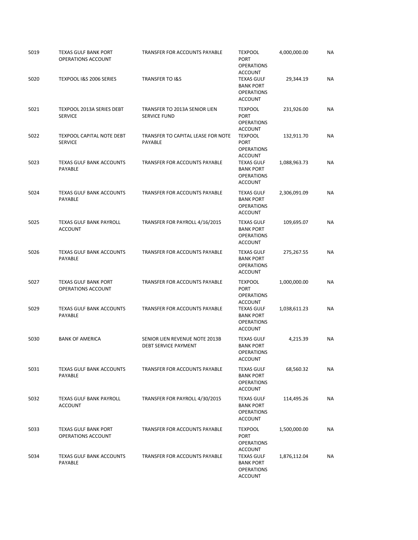| 5019 | <b>TEXAS GULF BANK PORT</b><br>OPERATIONS ACCOUNT  | TRANSFER FOR ACCOUNTS PAYABLE                                 | <b>TEXPOOL</b><br><b>PORT</b><br><b>OPERATIONS</b>                                             | 4,000,000.00 | ΝA        |
|------|----------------------------------------------------|---------------------------------------------------------------|------------------------------------------------------------------------------------------------|--------------|-----------|
| 5020 | TEXPOOL I&S 2006 SERIES                            | <b>TRANSFER TO I&amp;S</b>                                    | <b>ACCOUNT</b><br><b>TEXAS GULF</b><br><b>BANK PORT</b><br><b>OPERATIONS</b><br><b>ACCOUNT</b> | 29,344.19    | NA        |
| 5021 | <b>TEXPOOL 2013A SERIES DEBT</b><br><b>SERVICE</b> | TRANSFER TO 2013A SENIOR LIEN<br><b>SERVICE FUND</b>          | <b>TEXPOOL</b><br><b>PORT</b><br><b>OPERATIONS</b><br><b>ACCOUNT</b>                           | 231,926.00   | NA        |
| 5022 | <b>TEXPOOL CAPITAL NOTE DEBT</b><br><b>SERVICE</b> | TRANSFER TO CAPITAL LEASE FOR NOTE<br>PAYABLE                 | <b>TEXPOOL</b><br><b>PORT</b><br><b>OPERATIONS</b><br><b>ACCOUNT</b>                           | 132,911.70   | NA        |
| 5023 | <b>TEXAS GULF BANK ACCOUNTS</b><br>PAYABLE         | TRANSFER FOR ACCOUNTS PAYABLE                                 | <b>TEXAS GULF</b><br><b>BANK PORT</b><br><b>OPERATIONS</b><br><b>ACCOUNT</b>                   | 1,088,963.73 | ΝA        |
| 5024 | <b>TEXAS GULF BANK ACCOUNTS</b><br>PAYABLE         | <b>TRANSFER FOR ACCOUNTS PAYABLE</b>                          | <b>TEXAS GULF</b><br><b>BANK PORT</b><br><b>OPERATIONS</b><br><b>ACCOUNT</b>                   | 2,306,091.09 | <b>NA</b> |
| 5025 | <b>TEXAS GULF BANK PAYROLL</b><br><b>ACCOUNT</b>   | TRANSFER FOR PAYROLL 4/16/2015                                | <b>TEXAS GULF</b><br><b>BANK PORT</b><br><b>OPERATIONS</b><br><b>ACCOUNT</b>                   | 109,695.07   | <b>NA</b> |
| 5026 | <b>TEXAS GULF BANK ACCOUNTS</b><br>PAYABLE         | TRANSFER FOR ACCOUNTS PAYABLE                                 | <b>TEXAS GULF</b><br><b>BANK PORT</b><br><b>OPERATIONS</b><br><b>ACCOUNT</b>                   | 275,267.55   | <b>NA</b> |
| 5027 | <b>TEXAS GULF BANK PORT</b><br>OPERATIONS ACCOUNT  | TRANSFER FOR ACCOUNTS PAYABLE                                 | <b>TEXPOOL</b><br><b>PORT</b><br><b>OPERATIONS</b><br><b>ACCOUNT</b>                           | 1,000,000.00 | ΝA        |
| 5029 | <b>TEXAS GULF BANK ACCOUNTS</b><br>PAYABLE         | TRANSFER FOR ACCOUNTS PAYABLE                                 | <b>TEXAS GULF</b><br><b>BANK PORT</b><br><b>OPERATIONS</b><br><b>ACCOUNT</b>                   | 1,038,611.23 | NA        |
| 5030 | <b>BANK OF AMERICA</b>                             | SENIOR LIEN REVENUE NOTE 2013B<br><b>DEBT SERVICE PAYMENT</b> | <b>TEXAS GULF</b><br><b>BANK PORT</b><br><b>OPERATIONS</b><br><b>ACCOUNT</b>                   | 4,215.39     | ΝA        |
| 5031 | <b>TEXAS GULF BANK ACCOUNTS</b><br><b>PAYABLE</b>  | TRANSFER FOR ACCOUNTS PAYABLE                                 | <b>TEXAS GULF</b><br><b>BANK PORT</b><br><b>OPERATIONS</b><br><b>ACCOUNT</b>                   | 68,560.32    | NA        |
| 5032 | <b>TEXAS GULF BANK PAYROLL</b><br><b>ACCOUNT</b>   | TRANSFER FOR PAYROLL 4/30/2015                                | <b>TEXAS GULF</b><br><b>BANK PORT</b><br><b>OPERATIONS</b><br><b>ACCOUNT</b>                   | 114,495.26   | NA        |
| 5033 | <b>TEXAS GULF BANK PORT</b><br>OPERATIONS ACCOUNT  | TRANSFER FOR ACCOUNTS PAYABLE                                 | <b>TEXPOOL</b><br><b>PORT</b><br><b>OPERATIONS</b><br><b>ACCOUNT</b>                           | 1,500,000.00 | NA        |
| 5034 | <b>TEXAS GULF BANK ACCOUNTS</b><br>PAYABLE         | TRANSFER FOR ACCOUNTS PAYABLE                                 | <b>TEXAS GULF</b><br><b>BANK PORT</b><br><b>OPERATIONS</b><br><b>ACCOUNT</b>                   | 1,876,112.04 | NA        |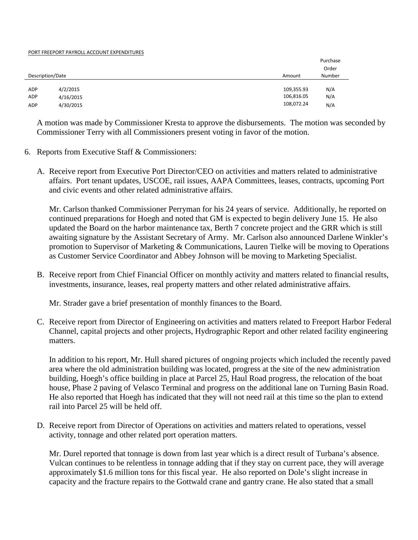### PORT FREEPORT PAYROLL ACCOUNT EXPENDITURES

|                  |           |            | Purchase |
|------------------|-----------|------------|----------|
|                  |           |            | Order    |
| Description/Date |           | Amount     | Number   |
|                  |           |            |          |
| <b>ADP</b>       | 4/2/2015  | 109,355.93 | N/A      |
| ADP              | 4/16/2015 | 106,816.05 | N/A      |
| ADP              | 4/30/2015 | 108,072.24 | N/A      |

A motion was made by Commissioner Kresta to approve the disbursements. The motion was seconded by Commissioner Terry with all Commissioners present voting in favor of the motion.

- 6. Reports from Executive Staff & Commissioners:
	- A. Receive report from Executive Port Director/CEO on activities and matters related to administrative affairs. Port tenant updates, USCOE, rail issues, AAPA Committees, leases, contracts, upcoming Port and civic events and other related administrative affairs.

Mr. Carlson thanked Commissioner Perryman for his 24 years of service. Additionally, he reported on continued preparations for Hoegh and noted that GM is expected to begin delivery June 15. He also updated the Board on the harbor maintenance tax, Berth 7 concrete project and the GRR which is still awaiting signature by the Assistant Secretary of Army. Mr. Carlson also announced Darlene Winkler's promotion to Supervisor of Marketing & Communications, Lauren Tielke will be moving to Operations as Customer Service Coordinator and Abbey Johnson will be moving to Marketing Specialist.

B. Receive report from Chief Financial Officer on monthly activity and matters related to financial results, investments, insurance, leases, real property matters and other related administrative affairs.

Mr. Strader gave a brief presentation of monthly finances to the Board.

C. Receive report from Director of Engineering on activities and matters related to Freeport Harbor Federal Channel, capital projects and other projects, Hydrographic Report and other related facility engineering matters.

In addition to his report, Mr. Hull shared pictures of ongoing projects which included the recently paved area where the old administration building was located, progress at the site of the new administration building, Hoegh's office building in place at Parcel 25, Haul Road progress, the relocation of the boat house, Phase 2 paving of Velasco Terminal and progress on the additional lane on Turning Basin Road. He also reported that Hoegh has indicated that they will not need rail at this time so the plan to extend rail into Parcel 25 will be held off.

D. Receive report from Director of Operations on activities and matters related to operations, vessel activity, tonnage and other related port operation matters.

Mr. Durel reported that tonnage is down from last year which is a direct result of Turbana's absence. Vulcan continues to be relentless in tonnage adding that if they stay on current pace, they will average approximately \$1.6 million tons for this fiscal year. He also reported on Dole's slight increase in capacity and the fracture repairs to the Gottwald crane and gantry crane. He also stated that a small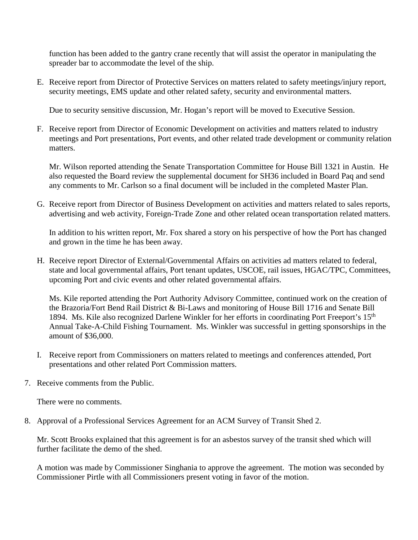function has been added to the gantry crane recently that will assist the operator in manipulating the spreader bar to accommodate the level of the ship.

E. Receive report from Director of Protective Services on matters related to safety meetings/injury report, security meetings, EMS update and other related safety, security and environmental matters.

Due to security sensitive discussion, Mr. Hogan's report will be moved to Executive Session.

F. Receive report from Director of Economic Development on activities and matters related to industry meetings and Port presentations, Port events, and other related trade development or community relation matters.

Mr. Wilson reported attending the Senate Transportation Committee for House Bill 1321 in Austin. He also requested the Board review the supplemental document for SH36 included in Board Paq and send any comments to Mr. Carlson so a final document will be included in the completed Master Plan.

G. Receive report from Director of Business Development on activities and matters related to sales reports, advertising and web activity, Foreign-Trade Zone and other related ocean transportation related matters.

In addition to his written report, Mr. Fox shared a story on his perspective of how the Port has changed and grown in the time he has been away.

H. Receive report Director of External/Governmental Affairs on activities ad matters related to federal, state and local governmental affairs, Port tenant updates, USCOE, rail issues, HGAC/TPC, Committees, upcoming Port and civic events and other related governmental affairs.

Ms. Kile reported attending the Port Authority Advisory Committee, continued work on the creation of the Brazoria/Fort Bend Rail District & Bi-Laws and monitoring of House Bill 1716 and Senate Bill 1894. Ms. Kile also recognized Darlene Winkler for her efforts in coordinating Port Freeport's 15<sup>th</sup> Annual Take-A-Child Fishing Tournament. Ms. Winkler was successful in getting sponsorships in the amount of \$36,000.

- I. Receive report from Commissioners on matters related to meetings and conferences attended, Port presentations and other related Port Commission matters.
- 7. Receive comments from the Public.

There were no comments.

8. Approval of a Professional Services Agreement for an ACM Survey of Transit Shed 2.

Mr. Scott Brooks explained that this agreement is for an asbestos survey of the transit shed which will further facilitate the demo of the shed.

A motion was made by Commissioner Singhania to approve the agreement. The motion was seconded by Commissioner Pirtle with all Commissioners present voting in favor of the motion.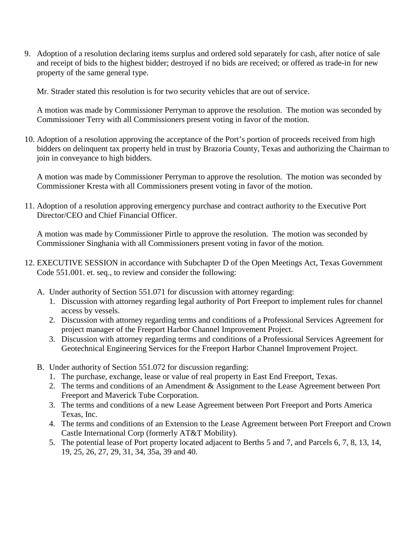9. Adoption of a resolution declaring items surplus and ordered sold separately for cash, after notice of sale and receipt of bids to the highest bidder; destroyed if no bids are received; or offered as trade-in for new property of the same general type.

Mr. Strader stated this resolution is for two security vehicles that are out of service.

A motion was made by Commissioner Perryman to approve the resolution. The motion was seconded by Commissioner Terry with all Commissioners present voting in favor of the motion.

10. Adoption of a resolution approving the acceptance of the Port's portion of proceeds received from high bidders on delinquent tax property held in trust by Brazoria County, Texas and authorizing the Chairman to join in conveyance to high bidders.

A motion was made by Commissioner Perryman to approve the resolution. The motion was seconded by Commissioner Kresta with all Commissioners present voting in favor of the motion.

11. Adoption of a resolution approving emergency purchase and contract authority to the Executive Port Director/CEO and Chief Financial Officer.

A motion was made by Commissioner Pirtle to approve the resolution. The motion was seconded by Commissioner Singhania with all Commissioners present voting in favor of the motion.

- 12. EXECUTIVE SESSION in accordance with Subchapter D of the Open Meetings Act, Texas Government Code 551.001. et. seq., to review and consider the following:
	- A. Under authority of Section 551.071 for discussion with attorney regarding:
		- 1. Discussion with attorney regarding legal authority of Port Freeport to implement rules for channel access by vessels.
		- 2. Discussion with attorney regarding terms and conditions of a Professional Services Agreement for project manager of the Freeport Harbor Channel Improvement Project.
		- 3. Discussion with attorney regarding terms and conditions of a Professional Services Agreement for Geotechnical Engineering Services for the Freeport Harbor Channel Improvement Project.
	- B. Under authority of Section 551.072 for discussion regarding:
		- 1. The purchase, exchange, lease or value of real property in East End Freeport, Texas.
		- 2. The terms and conditions of an Amendment & Assignment to the Lease Agreement between Port Freeport and Maverick Tube Corporation.
		- 3. The terms and conditions of a new Lease Agreement between Port Freeport and Ports America Texas, Inc.
		- 4. The terms and conditions of an Extension to the Lease Agreement between Port Freeport and Crown Castle International Corp (formerly AT&T Mobility).
		- 5. The potential lease of Port property located adjacent to Berths 5 and 7, and Parcels 6, 7, 8, 13, 14, 19, 25, 26, 27, 29, 31, 34, 35a, 39 and 40.